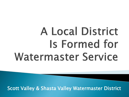## **A Local District** Is Formed for **Watermaster Service**

Scott Valley & Shasta Valley Watermaster District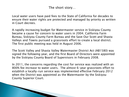The short story…

Local water users have paid fees to the State of California for decades to ensure their water rights are protected and managed by priority as written in Court decrees.

A rapidly increasing budget for Watermaster service in Siskiyou County became a cause for concern to water users in 2004. California Farm Bureau, Siskiyou County Farm Bureau and the Save Our Scott and Shasta Valleys and Towns pursued a grassroots effort to create a local district. The first public meeting was held in August 2006.

The Scott Valley and Shasta Valley Watermaster District Act (AB1580) was signed the following year, and the first Board of Directors were appointed by the Siskiyou County Board of Supervisors in February 2008.

In 2011, the concerns regarding the cost for service was realized with an 800% fee increase to water users. The almost 6-year grassroots effort to establish a locally-run service was implemented effective February 2012 when the District was appointed as the Watermaster by the Siskiyou County Superior Court.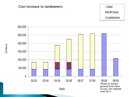

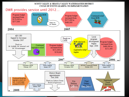## SCOTT VALLEY & SHASTA VALLEY WATERMASTER DISTRICT CYCLE OF EVENTS LEADING TO IMPLEMENTATION

## DWR provides service until 2012…

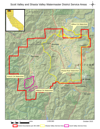Scott Valley and Shasta Valley Watermaster District Service Areas